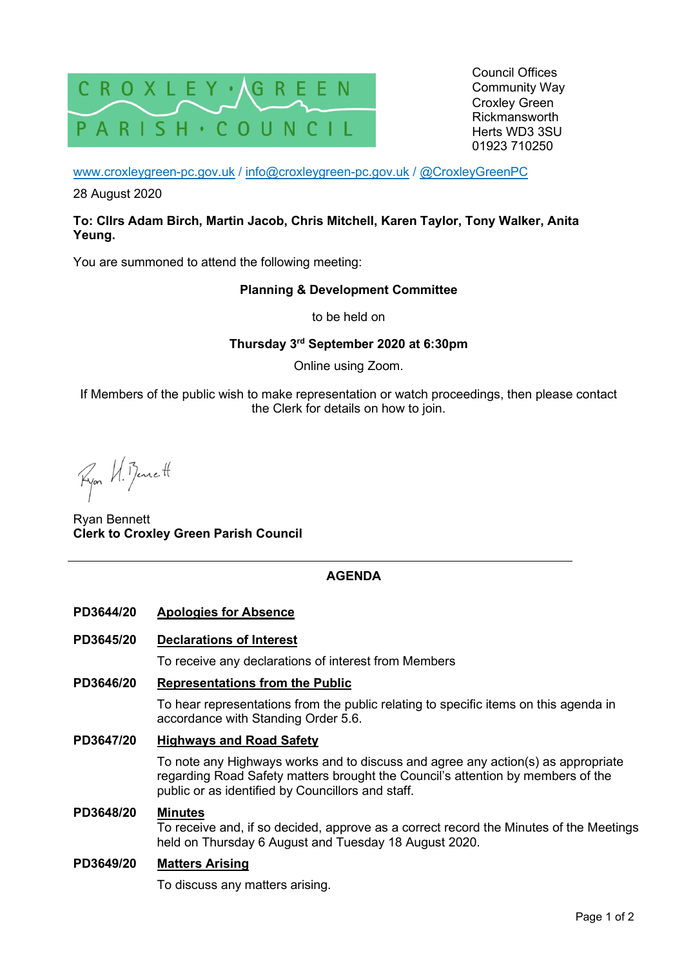

Council Offices Community Way Croxley Green Rickmansworth Herts WD3 3SU 01923 710250

www.croxleygreen-pc.gov.uk / info@croxleygreen-pc.gov.uk / @CroxleyGreenPC

28 August 2020

## **To: Cllrs Adam Birch, Martin Jacob, Chris Mitchell, Karen Taylor, Tony Walker, Anita Yeung.**

You are summoned to attend the following meeting:

## **Planning & Development Committee**

to be held on

**Thursday 3rd September 2020 at 6:30pm** 

Online using Zoom.

If Members of the public wish to make representation or watch proceedings, then please contact the Clerk for details on how to join.

Ryon U. Benett

Ryan Bennett **Clerk to Croxley Green Parish Council** 

# **AGENDA**

**PD3644/20 Apologies for Absence** 

## **PD3645/20 Declarations of Interest**

To receive any declarations of interest from Members

#### **PD3646/20 Representations from the Public**

To hear representations from the public relating to specific items on this agenda in accordance with Standing Order 5.6.

## **PD3647/20 Highways and Road Safety**

To note any Highways works and to discuss and agree any action(s) as appropriate regarding Road Safety matters brought the Council's attention by members of the public or as identified by Councillors and staff.

#### **PD3648/20 Minutes**

To receive and, if so decided, approve as a correct record the Minutes of the Meetings held on Thursday 6 August and Tuesday 18 August 2020.

#### **PD3649/20 Matters Arising**

To discuss any matters arising.